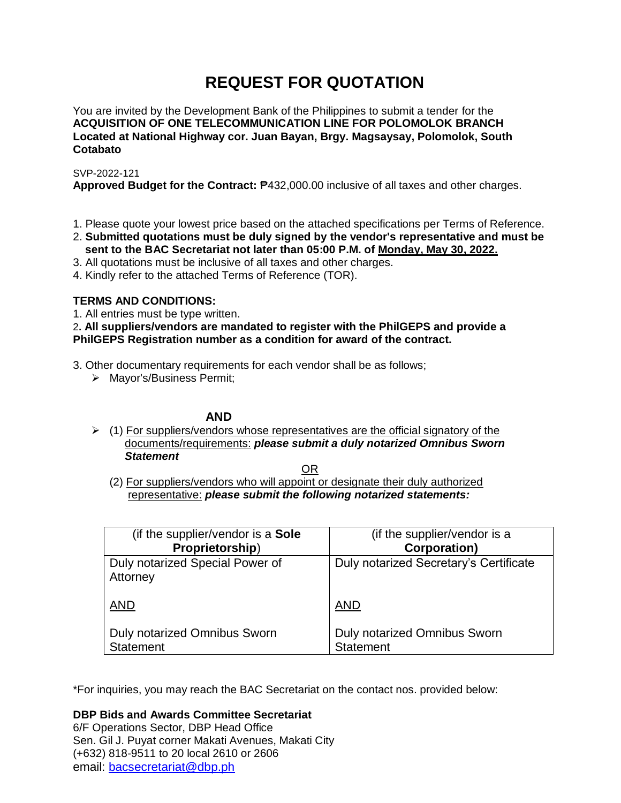# **REQUEST FOR QUOTATION**

You are invited by the Development Bank of the Philippines to submit a tender for the **ACQUISITION OF ONE TELECOMMUNICATION LINE FOR POLOMOLOK BRANCH Located at National Highway cor. Juan Bayan, Brgy. Magsaysay, Polomolok, South Cotabato**

SVP-2022-121

**Approved Budget for the Contract:** ₱432,000.00 inclusive of all taxes and other charges.

- 1. Please quote your lowest price based on the attached specifications per Terms of Reference.
- 2. **Submitted quotations must be duly signed by the vendor's representative and must be sent to the BAC Secretariat not later than 05:00 P.M. of Monday, May 30, 2022.**
- 3. All quotations must be inclusive of all taxes and other charges.
- 4. Kindly refer to the attached Terms of Reference (TOR).

# **TERMS AND CONDITIONS:**

1. All entries must be type written.

2**. All suppliers/vendors are mandated to register with the PhilGEPS and provide a PhilGEPS Registration number as a condition for award of the contract.**

3. Other documentary requirements for each vendor shall be as follows;

> Mayor's/Business Permit;

# **AND**

 $\geq$  (1) For suppliers/vendors whose representatives are the official signatory of the documents/requirements: *please submit a duly notarized Omnibus Sworn Statement*

<u>OR Starting and the Starting OR Starting</u>

(2) For suppliers/vendors who will appoint or designate their duly authorized representative: *please submit the following notarized statements:*

| (if the supplier/vendor is a <b>Sole</b>    | (if the supplier/vendor is a           |
|---------------------------------------------|----------------------------------------|
| Proprietorship)                             | <b>Corporation)</b>                    |
| Duly notarized Special Power of<br>Attorney | Duly notarized Secretary's Certificate |
| <b>AND</b>                                  | <b>AND</b>                             |
| Duly notarized Omnibus Sworn                | <b>Duly notarized Omnibus Sworn</b>    |
| <b>Statement</b>                            | <b>Statement</b>                       |

\*For inquiries, you may reach the BAC Secretariat on the contact nos. provided below:

**DBP Bids and Awards Committee Secretariat**  6/F Operations Sector, DBP Head Office Sen. Gil J. Puyat corner Makati Avenues, Makati City (+632) 818-9511 to 20 local 2610 or 2606

email: [bacsecretariat@dbp.ph](mailto:bacsecretariat@dbp.ph)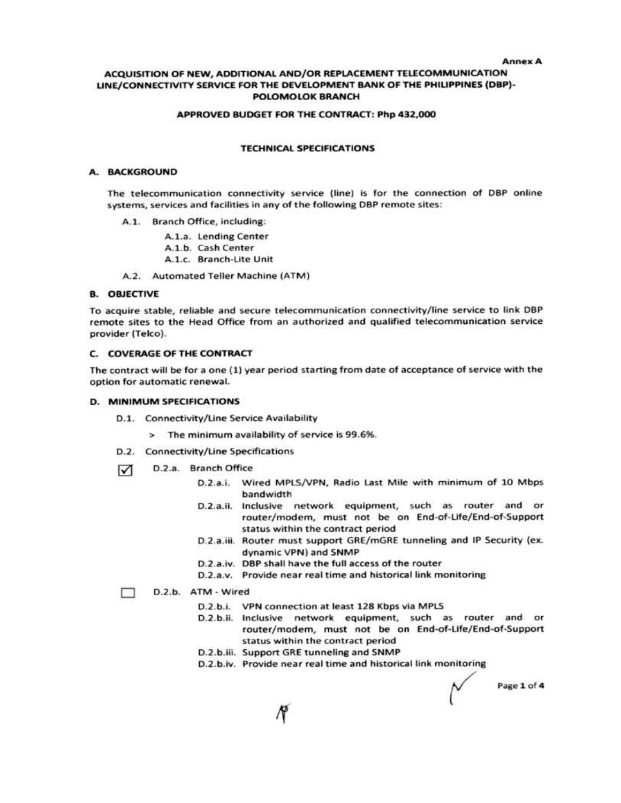#### **Annex A**

#### ACQUISITION OF NEW, ADDITIONAL AND/OR REPLACEMENT TELECOMMUNICATION LINE/CONNECTIVITY SERVICE FOR THE DEVELOPMENT BANK OF THE PHILIPPINES (DBP)-**POLOMOLOK BRANCH**

#### APPROVED BUDGET FOR THE CONTRACT: Php 432,000

#### **TECHNICAL SPECIFICATIONS**

### A. BACKGROUND

The telecommunication connectivity service (line) is for the connection of DBP online systems, services and facilities in any of the following DBP remote sites:

A.1. Branch Office, including:

A.1.a. Lending Center

A.1.b. Cash Center

A.1.c. Branch-Lite Unit

A.2. Automated Teller Machine (ATM)

#### **B. OBJECTIVE**

To acquire stable, reliable and secure telecommunication connectivity/line service to link DBP remote sites to the Head Office from an authorized and qualified telecommunication service provider (Telco).

#### C. COVERAGE OF THE CONTRACT

The contract will be for a one (1) year period starting from date of acceptance of service with the option for automatic renewal.

#### **D. MINIMUM SPECIFICATIONS**

- D.1. Connectivity/Line Service Availability
	- > The minimum availability of service is 99.6%.
- D.2. Connectivity/Line Specifications
- D.2.a. Branch Office  $\triangledown$ 
	- D.2.a.i. Wired MPLS/VPN, Radio Last Mile with minimum of 10 Mbps bandwidth
	- D.2.a.ii. Inclusive network equipment, such as router and or router/modem, must not be on End-of-Life/End-of-Support status within the contract period
	- D.2.a.iii. Router must support GRE/mGRE tunneling and IP Security (ex. dynamic VPN) and SNMP
	- D.2.a.iv. DBP shall have the full access of the router
	- D.2.a.v. Provide near real time and historical link monitoring

#### D.2.b. ATM - Wired □

- D.2.b.i. VPN connection at least 128 Kbps via MPLS
- D.2.b.ii. Inclusive network equipment, such as router and or router/modem, must not be on End-of-Life/End-of-Support status within the contract period
- D.2.b.iii. Support GRE tunneling and SNMP
- D.2.b.iv. Provide near real time and historical link monitoring

Page 1 of 4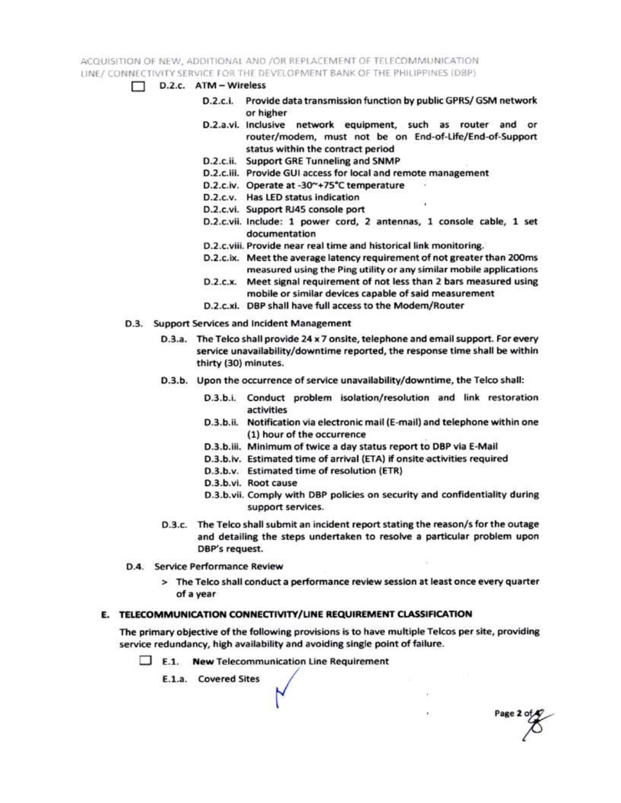ACQUISITION OF NEW, ADDITIONAL AND /OR REPLACEMENT OF TELECOMMUNICATION LINE / CONNECTIVITY SERVICE FOR THE DEVELOPMENT BANK OF THE PHILIPPINES (DBP)

- $\Box$  D.2.c.  $ATM Wireless$ 
	- D.2.c.i. Provide data transmission function by public GPRS/ GSM network or higher
	- D.2.a.vi. Inclusive network equipment, such as router and or router/modem, must not be on End-of-Life/End-of-Support status within the contract period
	- D.2.c.ii. Support GRE Tunneling and SNMP
	- D.2.c.iii. Provide GUI access for local and remote management
	- D.2.c.iv. Operate at -30~+75°C temperature
	- D.2.c.v. Has LED status indication
	- D.2.c.vi. Support RJ45 console port
	- D.2.c.vii. Include: 1 power cord, 2 antennas, 1 console cable, 1 set documentation
	- D.2.c.viii. Provide near real time and historical link monitoring.
	- D.2.c.ix. Meet the average latency requirement of not greater than 200ms measured using the Ping utility or any similar mobile applications
	- D.2.c.x. Meet signal requirement of not less than 2 bars measured using mobile or similar devices capable of said measurement
	- D.2.c.xi. DBP shall have full access to the Modem/Router
- D.3. Support Services and Incident Management
	- D.3.a. The Telco shall provide 24 x 7 onsite, telephone and email support. For every service unavailability/downtime reported, the response time shall be within thirty (30) minutes.
	- D.3.b. Upon the occurrence of service unavailability/downtime, the Telco shall:
		- D.3.b.i. Conduct problem isolation/resolution and link restoration activities
		- D.3.b.ii. Notification via electronic mail (E-mail) and telephone within one (1) hour of the occurrence
		- D.3.b.iii. Minimum of twice a day status report to DBP via E-Mail
		- D.3.b.iv. Estimated time of arrival (ETA) if onsite activities required
		- D.3.b.v. Estimated time of resolution (ETR)
		- D.3.b.vi. Root cause
		- D.3.b.vii. Comply with DBP policies on security and confidentiality during support services.

Page 2 of

- D.3.c. The Telco shall submit an incident report stating the reason/s for the outage and detailing the steps undertaken to resolve a particular problem upon DBP's request.
- D.4. Service Performance Review
	- > The Telco shall conduct a performance review session at least once every quarter of a year

### E. TELECOMMUNICATION CONNECTIVITY/LINE REQUIREMENT CLASSIFICATION

The primary objective of the following provisions is to have multiple Telcos per site, providing service redundancy, high availability and avoiding single point of failure.

 $\Box$  E.1. New Telecommunication Line Requirement

E.1.a. Covered Sites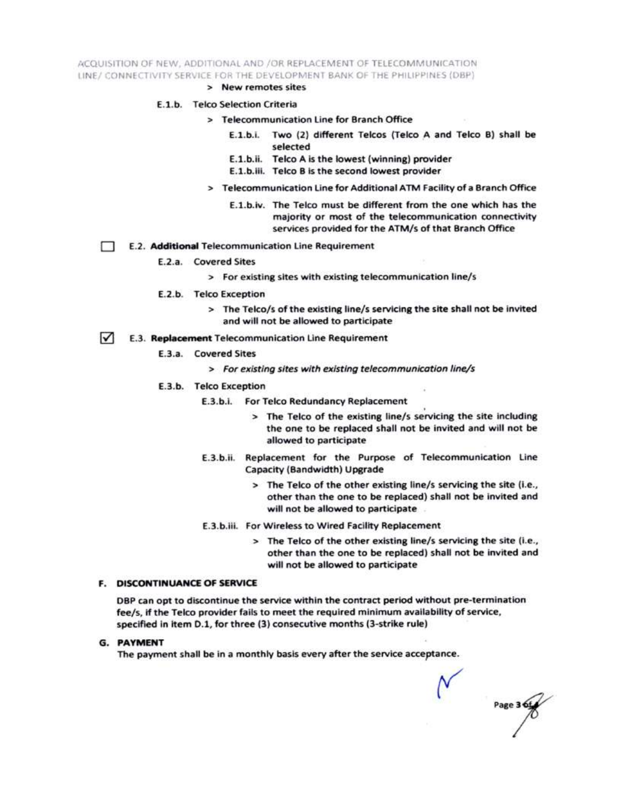ACQUISITION OF NEW, ADDITIONAL AND /OR REPLACEMENT OF TELECOMMUNICATION LINE/ CONNECTIVITY SERVICE FOR THE DEVELOPMENT BANK OF THE PHILIPPINES (DBP)

> New remotes sites

#### E.1.b. Telco Selection Criteria

- > Telecommunication Line for Branch Office
	- E.1.b.i. Two (2) different Telcos (Telco A and Telco B) shall be selected
	- E.1.b.ii. Telco A is the lowest (winning) provider
	- E.1.b.iii. Telco B is the second lowest provider
- > Telecommunication Line for Additional ATM Facility of a Branch Office
	- E.1.b.iv. The Telco must be different from the one which has the majority or most of the telecommunication connectivity services provided for the ATM/s of that Branch Office
- E.2. Additional Telecommunication Line Requirement Ð
	- E.2.a. Covered Sites
		- > For existing sites with existing telecommunication line/s
	- E.2.b. Telco Exception
		- > The Telco/s of the existing line/s servicing the site shall not be invited and will not be allowed to participate
- $\sqrt{ }$ E.3. Replacement Telecommunication Line Requirement
	- E.3.a. Covered Sites
		- > For existing sites with existing telecommunication line/s
	- E.3.b. Telco Exception
		- E.3.b.i. For Telco Redundancy Replacement
			- > The Telco of the existing line/s servicing the site including the one to be replaced shall not be invited and will not be allowed to participate
		- E.3.b.ii. Replacement for the Purpose of Telecommunication Line Capacity (Bandwidth) Upgrade
			- > The Telco of the other existing line/s servicing the site (i.e., other than the one to be replaced) shall not be invited and will not be allowed to participate
		- E.3.b.iii. For Wireless to Wired Facility Replacement
			- > The Telco of the other existing line/s servicing the site (i.e., other than the one to be replaced) shall not be invited and will not be allowed to participate

#### **F. DISCONTINUANCE OF SERVICE**

DBP can opt to discontinue the service within the contract period without pre-termination fee/s, if the Telco provider fails to meet the required minimum availability of service, specified in item D.1, for three (3) consecutive months (3-strike rule)

**G. PAYMENT** 

The payment shall be in a monthly basis every after the service acceptance.

Page 3 6t